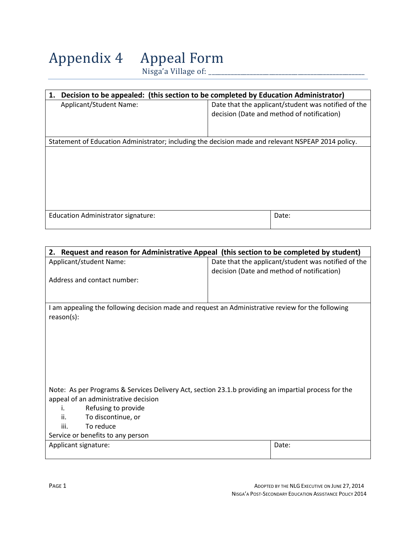Appendix 4 Appeal Form

 $Nisga'a \text{ Village of: }$ 

| Decision to be appealed: (this section to be completed by Education Administrator)<br>1.           |                                                     |  |
|----------------------------------------------------------------------------------------------------|-----------------------------------------------------|--|
| Applicant/Student Name:                                                                            | Date that the applicant/student was notified of the |  |
|                                                                                                    | decision (Date and method of notification)          |  |
|                                                                                                    |                                                     |  |
|                                                                                                    |                                                     |  |
| Statement of Education Administrator; including the decision made and relevant NSPEAP 2014 policy. |                                                     |  |
|                                                                                                    |                                                     |  |
|                                                                                                    |                                                     |  |
|                                                                                                    |                                                     |  |
|                                                                                                    |                                                     |  |
|                                                                                                    |                                                     |  |
|                                                                                                    |                                                     |  |
|                                                                                                    |                                                     |  |
| Education Administrator signature:                                                                 | Date:                                               |  |
|                                                                                                    |                                                     |  |

| Date that the applicant/student was notified of the<br>Applicant/student Name:<br>decision (Date and method of notification)<br>Address and contact number: | 2. Request and reason for Administrative Appeal (this section to be completed by student) |  |  |
|-------------------------------------------------------------------------------------------------------------------------------------------------------------|-------------------------------------------------------------------------------------------|--|--|
|                                                                                                                                                             |                                                                                           |  |  |
|                                                                                                                                                             |                                                                                           |  |  |
|                                                                                                                                                             |                                                                                           |  |  |
|                                                                                                                                                             |                                                                                           |  |  |
|                                                                                                                                                             |                                                                                           |  |  |
| I am appealing the following decision made and request an Administrative review for the following                                                           |                                                                                           |  |  |
| $reason(s)$ :                                                                                                                                               |                                                                                           |  |  |
|                                                                                                                                                             |                                                                                           |  |  |
|                                                                                                                                                             |                                                                                           |  |  |
|                                                                                                                                                             |                                                                                           |  |  |
|                                                                                                                                                             |                                                                                           |  |  |
|                                                                                                                                                             |                                                                                           |  |  |
|                                                                                                                                                             |                                                                                           |  |  |
| Note: As per Programs & Services Delivery Act, section 23.1.b providing an impartial process for the                                                        |                                                                                           |  |  |
| appeal of an administrative decision                                                                                                                        |                                                                                           |  |  |
| Refusing to provide<br>i.                                                                                                                                   |                                                                                           |  |  |
| To discontinue, or<br>ii.                                                                                                                                   |                                                                                           |  |  |
| iii.<br>To reduce                                                                                                                                           |                                                                                           |  |  |
| Service or benefits to any person                                                                                                                           |                                                                                           |  |  |
| Applicant signature:<br>Date:                                                                                                                               |                                                                                           |  |  |
|                                                                                                                                                             |                                                                                           |  |  |